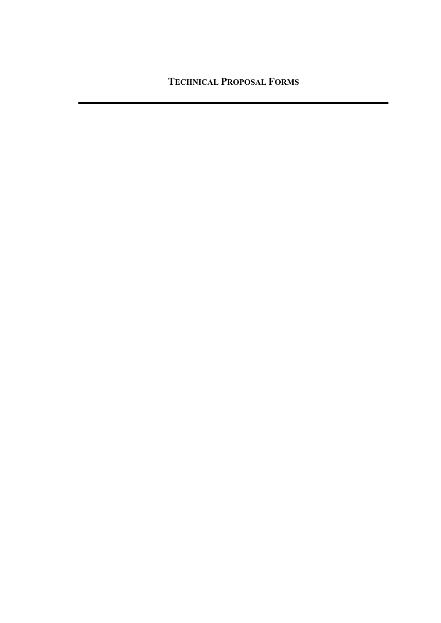**TECHNICAL PROPOSAL FORMS**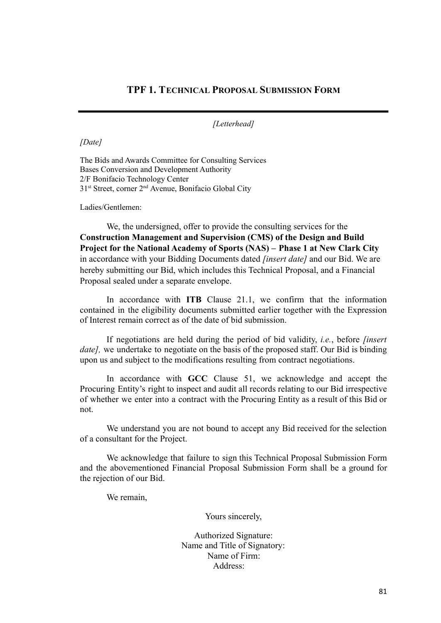# **TPF 1. TECHNICAL PROPOSAL SUBMISSION FORM**

*[Letterhead]*

*[Date]*

The Bids and Awards Committee for Consulting Services Bases Conversion and Development Authority 2/F Bonifacio Technology Center 31<sup>st</sup> Street, corner 2<sup>nd</sup> Avenue, Bonifacio Global City

Ladies/Gentlemen:

We, the undersigned, offer to provide the consulting services for the **Construction Management and Supervision (CMS) of the Design and Build Project for the National Academy of Sports (NAS) – Phase 1 at New Clark City** in accordance with your Bidding Documents dated *[insert date]* and our Bid. We are hereby submitting our Bid, which includes this Technical Proposal, and a Financial Proposal sealed under a separate envelope.

In accordance with **ITB** Clause 21.1, we confirm that the information contained in the eligibility documents submitted earlier together with the Expression of Interest remain correct as of the date of bid submission.

If negotiations are held during the period of bid validity, *i.e.*, before *[insert date]*, we undertake to negotiate on the basis of the proposed staff. Our Bid is binding upon us and subject to the modifications resulting from contract negotiations.

In accordance with **GCC** Clause 51, we acknowledge and accept the Procuring Entity's right to inspect and audit all records relating to our Bid irrespective of whether we enter into a contract with the Procuring Entity as a result of this Bid or not.

We understand you are not bound to accept any Bid received for the selection of a consultant for the Project.

We acknowledge that failure to sign this Technical Proposal Submission Form and the abovementioned Financial Proposal Submission Form shall be a ground for the rejection of our Bid.

We remain,

Yours sincerely,

Authorized Signature: Name and Title of Signatory: Name of Firm: Address: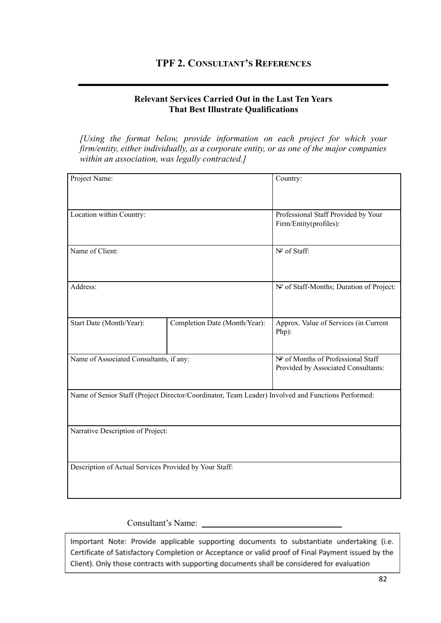# **TPF 2. CONSULTANT'S REFERENCES**

#### **Relevant Services Carried Out in the Last Ten Years That Best Illustrate Qualifications**

*[Using the format below, provide information on each project for which your firm/entity, either individually, as a corporate entity, or as one of the major companies within an association, was legally contracted.]*

| Project Name:                                          |                                                                                                    | Country:                                                                  |
|--------------------------------------------------------|----------------------------------------------------------------------------------------------------|---------------------------------------------------------------------------|
| Location within Country:                               |                                                                                                    | Professional Staff Provided by Your<br>Firm/Entity(profiles):             |
| Name of Client:                                        | Nº of Staff:                                                                                       |                                                                           |
| Address:                                               |                                                                                                    | Nº of Staff-Months; Duration of Project:                                  |
| Start Date (Month/Year):                               | Completion Date (Month/Year):                                                                      | Approx. Value of Services (in Current<br>Php):                            |
| Name of Associated Consultants, if any:                |                                                                                                    | Nº of Months of Professional Staff<br>Provided by Associated Consultants: |
|                                                        | Name of Senior Staff (Project Director/Coordinator, Team Leader) Involved and Functions Performed: |                                                                           |
| Narrative Description of Project:                      |                                                                                                    |                                                                           |
| Description of Actual Services Provided by Your Staff: |                                                                                                    |                                                                           |

#### Consultant's Name:

Important Note: Provide applicable supporting documents to substantiate undertaking (i.e. Certificate of Satisfactory Completion or Acceptance or valid proof of Final Payment issued by the Client). Only those contracts with supporting documents shall be considered for evaluation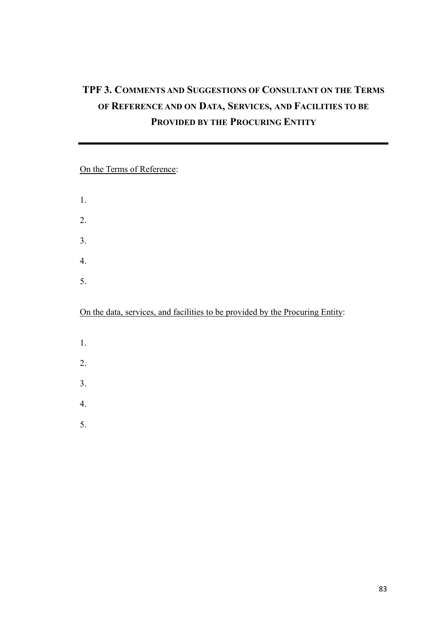# **TPF 3. COMMENTS AND SUGGESTIONS OF CONSULTANT ON THE TERMS OF REFERENCE AND ON DATA, SERVICES, AND FACILITIES TO BE PROVIDED BY THE PROCURING ENTITY**

# On the Terms of Reference:

1. 2. 3. 4. 5.

On the data, services, and facilities to be provided by the Procuring Entity:

- 1.
- 2.
- 3.
- 4.
- 5.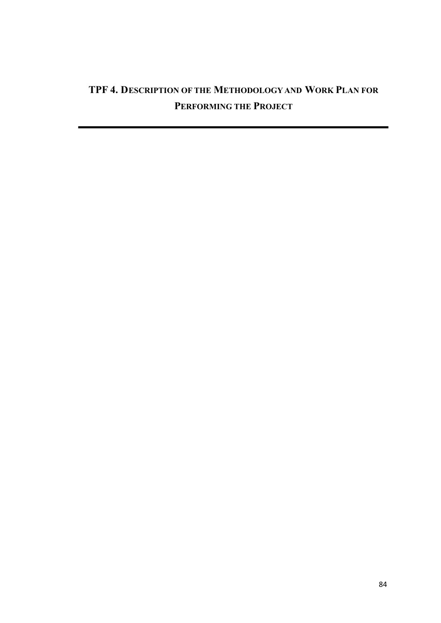# **TPF 4. DESCRIPTION OF THE METHODOLOGY AND WORK PLAN FOR PERFORMING THE PROJECT**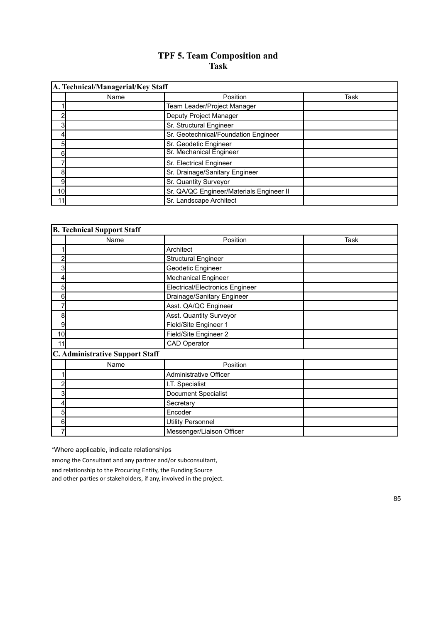# **TPF 5. Team Composition and Task**

|    | A. Technical/Managerial/Key Staff |                                          |      |
|----|-----------------------------------|------------------------------------------|------|
|    | Name                              | Position                                 | Task |
|    |                                   | Team Leader/Project Manager              |      |
| 2  |                                   | Deputy Project Manager                   |      |
| 3  |                                   | Sr. Structural Engineer                  |      |
| 4  |                                   | Sr. Geotechnical/Foundation Engineer     |      |
| 5  |                                   | Sr. Geodetic Engineer                    |      |
| 6  |                                   | Sr. Mechanical Engineer                  |      |
|    |                                   | Sr. Electrical Engineer                  |      |
| 8  |                                   | Sr. Drainage/Sanitary Engineer           |      |
| 9  |                                   | Sr. Quantity Surveyor                    |      |
| 10 |                                   | Sr. QA/QC Engineer/Materials Engineer II |      |
| 11 |                                   | Sr. Landscape Architect                  |      |

|                | <b>B. Technical Support Staff</b> |                                        |      |
|----------------|-----------------------------------|----------------------------------------|------|
|                | Name                              | Position                               | Task |
|                |                                   | Architect                              |      |
| $\overline{a}$ |                                   | <b>Structural Engineer</b>             |      |
| 3              |                                   | Geodetic Engineer                      |      |
| 4              |                                   | <b>Mechanical Engineer</b>             |      |
| 5              |                                   | <b>Electrical/Electronics Engineer</b> |      |
| 6              |                                   | Drainage/Sanitary Engineer             |      |
| 7              |                                   | Asst. QA/QC Engineer                   |      |
| 8              |                                   | Asst. Quantity Surveyor                |      |
| 9              |                                   | Field/Site Engineer 1                  |      |
| 10             |                                   | Field/Site Engineer 2                  |      |
| 11             |                                   | <b>CAD Operator</b>                    |      |
|                | C. Administrative Support Staff   |                                        |      |
|                | Name                              | Position                               |      |
| 1              |                                   | <b>Administrative Officer</b>          |      |
| 2              |                                   | I.T. Specialist                        |      |
| 3              |                                   | Document Specialist                    |      |
| 4              |                                   | Secretary                              |      |
| 5              |                                   | Encoder                                |      |
| 6              |                                   | <b>Utility Personnel</b>               |      |
| 7              |                                   | Messenger/Liaison Officer              |      |

\*Where applicable, indicate relationships

among the Consultant and any partner and/or subconsultant,

and relationship to the Procuring Entity, the Funding Source

and other parties or stakeholders, if any, involved in the project.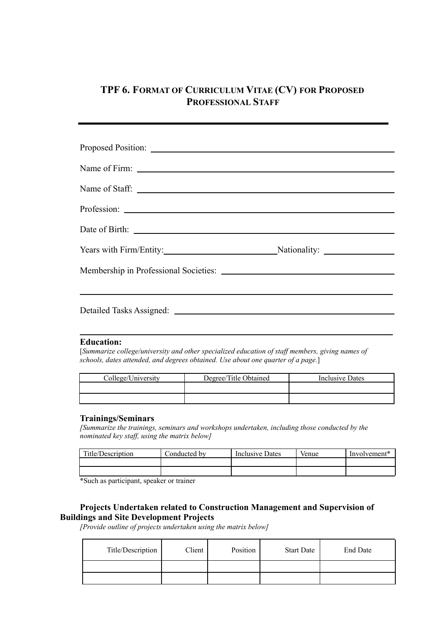# **TPF 6. FORMAT OF CURRICULUM VITAE (CV) FOR PROPOSED PROFESSIONAL STAFF**

| Years with Firm/Entity: Nationality: Nationality: |  |
|---------------------------------------------------|--|
|                                                   |  |
|                                                   |  |
|                                                   |  |

#### **Education:**

[*Summarize college/university and other specialized education of staf members, giving names of schools, dates attended, and degrees obtained. Use about one quarter of a page.*]

| College/University | Degree/Title Obtained | Inclusive Dates |
|--------------------|-----------------------|-----------------|
|                    |                       |                 |
|                    |                       |                 |

#### **Trainings/Seminars**

*[Summarize the trainings, seminars and workshops undertaken, including those conducted by the nominated key staf , using the matrix below]*

| Title/Description | Conducted by | Inclusive Dates | Venue | Involvement <sup>*</sup> |
|-------------------|--------------|-----------------|-------|--------------------------|
|                   |              |                 |       |                          |
|                   |              |                 |       |                          |

\*Such as participant, speaker or trainer

#### **Projects Undertaken related to Construction Management and Supervision of Buildings and Site Development Projects**

*[Provide outline of projects undertaken using the matrix below]*

| Title/Description | Client | Position | <b>Start Date</b> | End Date |
|-------------------|--------|----------|-------------------|----------|
|                   |        |          |                   |          |
|                   |        |          |                   |          |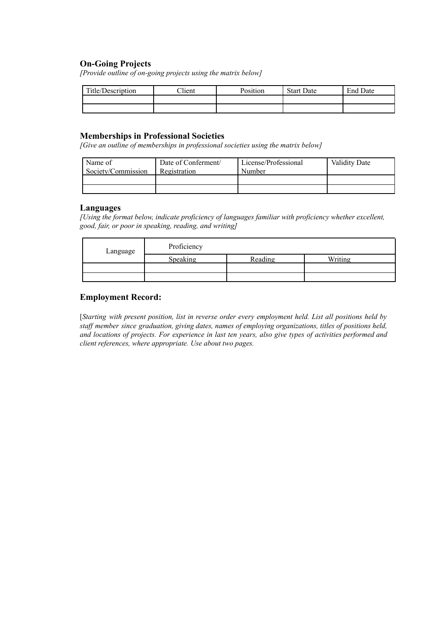#### **On-Going Projects**

*[Provide outline of on-going projects using the matrix below]*

| Title/Description | $\gamma$ lient | Position | <b>Start Date</b> | <b>End Date</b> |
|-------------------|----------------|----------|-------------------|-----------------|
|                   |                |          |                   |                 |
|                   |                |          |                   |                 |

#### **Memberships in Professional Societies**

*[Give an outline of memberships in professional societies using the matrix below]*

| Name of            | Date of Conferment/ | License/Professional | <b>Validity Date</b> |
|--------------------|---------------------|----------------------|----------------------|
| Society/Commission | Registration        | Number               |                      |
|                    |                     |                      |                      |
|                    |                     |                      |                      |

#### **Languages**

*[Using the format below, indicate proficiency of languages familiar with proficiency whether excellent, good, fair, or poor in speaking, reading, and writing]*

| Language | Proficiency |         |         |
|----------|-------------|---------|---------|
|          | Speaking    | Reading | Writing |
|          |             |         |         |
|          |             |         |         |

#### **Employment Record:**

[*Starting with present position, list in reverse order every employment held. List all positions held by staf member since graduation, giving dates, names of employing organizations, titles of positions held, and locations of projects. For experience in last ten years, also give types of activities performed and client references, where appropriate. Use about two pages.*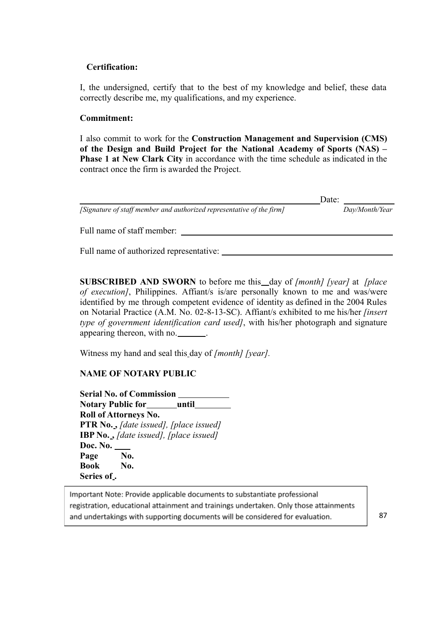#### **Certification:**

I, the undersigned, certify that to the best of my knowledge and belief, these data correctly describe me, my qualifications, and my experience.

#### **Commitment:**

I also commit to work for the **Construction Management and Supervision (CMS) of the Design and Build Project for the National Academy of Sports (NAS) – Phase 1 at New Clark City** in accordance with the time schedule as indicated in the contract once the firm is awarded the Project.

|                                                                       | Date: |                |
|-----------------------------------------------------------------------|-------|----------------|
| [Signature of staff member and authorized representative of the firm] |       | Day/Month/Year |
| Full name of staff member:                                            |       |                |
| Full name of authorized representative:                               |       |                |

**SUBSCRIBED AND SWORN** to before me this day of *[month] [year]* at *[place of execution]*, Philippines. Affiant/s is/are personally known to me and was/were identified by me through competent evidence of identity as defined in the 2004 Rules on Notarial Practice (A.M. No. 02-8-13-SC). Affiant/s exhibited to me his/her *[insert type of government identification card used]*, with his/her photograph and signature appearing thereon, with no. \_\_\_\_\_\_\_.

Witness my hand and seal this day of *[month] [year].*

### **NAME OF NOTARY PUBLIC**

**Serial No. of Commission Notary Public for until Roll of Attorneys No. PTR No. ,** *[date issued], [place issued]* **IBP No. ,** *[date issued], [place issued]* **Doc. No. Page No. Book No. Series of .**

Important Note: Provide applicable documents to substantiate professional registration, educational attainment and trainings undertaken. Only those attainments and undertakings with supporting documents will be considered for evaluation.

87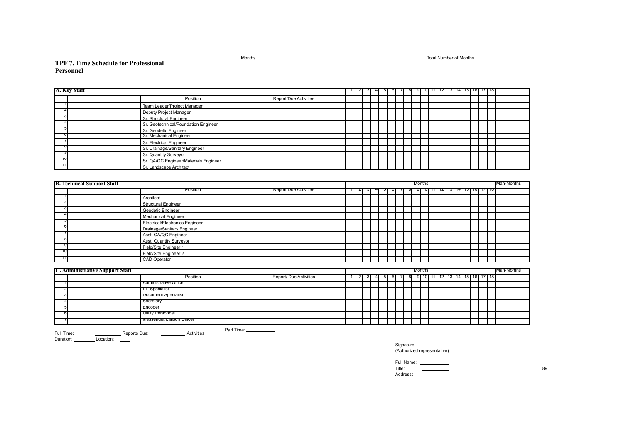Months Total Number of Months

#### **TPF 7. Time Schedule for Professional Personnel**

|    | A. Key Staff                           |                                          |                               |  | $\mathbf{z}$ | ು  | $5 \vert$ | 6 | $\sqrt{ }$ | 81 |        |  |  |  | -9 10 11 11 12 13 14 15 16 17 18 |            |
|----|----------------------------------------|------------------------------------------|-------------------------------|--|--------------|----|-----------|---|------------|----|--------|--|--|--|----------------------------------|------------|
|    |                                        | Position                                 | Report/Due Activities         |  |              |    |           |   |            |    |        |  |  |  |                                  |            |
|    |                                        | Team Leader/Project Manager              |                               |  |              |    |           |   |            |    |        |  |  |  |                                  |            |
| ۷  |                                        | Deputy Project Manager                   |                               |  |              |    |           |   |            |    |        |  |  |  |                                  |            |
|    |                                        | Sr. Structural Engineer                  |                               |  |              |    |           |   |            |    |        |  |  |  |                                  |            |
|    |                                        | Sr. Geotechnical/Foundation Engineer     |                               |  |              |    |           |   |            |    |        |  |  |  |                                  |            |
| Ð  |                                        | Sr. Geodetic Engineer                    |                               |  |              |    |           |   |            |    |        |  |  |  |                                  |            |
|    |                                        | Sr. Mechanical Engineer                  |                               |  |              |    |           |   |            |    |        |  |  |  |                                  |            |
|    |                                        | Sr. Electrical Engineer                  |                               |  |              |    |           |   |            |    |        |  |  |  |                                  |            |
|    |                                        | Sr. Drainage/Sanitary Engineer           |                               |  |              |    |           |   |            |    |        |  |  |  |                                  |            |
|    |                                        | Sr. Quantity Surveyor                    |                               |  |              |    |           |   |            |    |        |  |  |  |                                  |            |
| טד |                                        | Sr. QA/QC Engineer/Materials Engineer II |                               |  |              |    |           |   |            |    |        |  |  |  |                                  |            |
| Ш  |                                        | Sr. Landscape Architect                  |                               |  |              |    |           |   |            |    |        |  |  |  |                                  |            |
|    |                                        |                                          |                               |  |              |    |           |   |            |    |        |  |  |  |                                  |            |
|    | <b>B. Technical Support Staff</b>      |                                          |                               |  |              |    |           |   |            |    | Months |  |  |  |                                  | Man-Months |
|    |                                        | Position                                 | <b>Report/Due Activities</b>  |  | ∠            |    |           |   |            |    |        |  |  |  | 9 10 11 12 13 14 15 16 17 18     |            |
|    |                                        | Architect                                |                               |  |              |    |           |   |            |    |        |  |  |  |                                  |            |
|    |                                        | <b>Structural Engineer</b>               |                               |  |              |    |           |   |            |    |        |  |  |  |                                  |            |
|    |                                        | Geodetic Engineer                        |                               |  |              |    |           |   |            |    |        |  |  |  |                                  |            |
|    |                                        | <b>Mechanical Engineer</b>               |                               |  |              |    |           |   |            |    |        |  |  |  |                                  |            |
|    |                                        | <b>Electrical/Electronics Engineer</b>   |                               |  |              |    |           |   |            |    |        |  |  |  |                                  |            |
|    |                                        | Drainage/Sanitary Engineer               |                               |  |              |    |           |   |            |    |        |  |  |  |                                  |            |
|    |                                        | Asst. QA/QC Engineer                     |                               |  |              |    |           |   |            |    |        |  |  |  |                                  |            |
|    |                                        | Asst. Quantity Surveyor                  |                               |  |              |    |           |   |            |    |        |  |  |  |                                  |            |
|    |                                        | Field/Site Engineer 1                    |                               |  |              |    |           |   |            |    |        |  |  |  |                                  |            |
| ΊU |                                        | Field/Site Engineer 2                    |                               |  |              |    |           |   |            |    |        |  |  |  |                                  |            |
| ╖  |                                        | <b>CAD</b> Operator                      |                               |  |              |    |           |   |            |    |        |  |  |  |                                  |            |
|    |                                        |                                          |                               |  |              |    |           |   |            |    |        |  |  |  |                                  |            |
|    | <b>C. Administrative Support Staff</b> |                                          |                               |  |              |    |           |   |            |    | Months |  |  |  |                                  | Man-Months |
|    |                                        | Position                                 | <b>Report/ Due Activities</b> |  | $\mathbf{z}$ | -3 | 5         | 6 |            |    |        |  |  |  | 9 10 11 12 13 14 15 16 17 18     |            |
|    |                                        | Administrative Officer                   |                               |  |              |    |           |   |            |    |        |  |  |  |                                  |            |
|    |                                        | I.I. Specialist                          |                               |  |              |    |           |   |            |    |        |  |  |  |                                  |            |
|    |                                        | Document Specialist                      |                               |  |              |    |           |   |            |    |        |  |  |  |                                  |            |
|    |                                        | secretary                                |                               |  |              |    |           |   |            |    |        |  |  |  |                                  |            |
|    |                                        | Encoder                                  |                               |  |              |    |           |   |            |    |        |  |  |  |                                  |            |
| O  |                                        | Utility Personner                        |                               |  |              |    |           |   |            |    |        |  |  |  |                                  |            |
|    |                                        | iviessenger/Liaison Officer              |                               |  |              |    |           |   |            |    |        |  |  |  |                                  |            |

Full Time: Reports Due: Activities Duration: Location:

Part Time:

Signature: (Authorized representative)

Full Name:<br>Title: Title: 29 Address**:**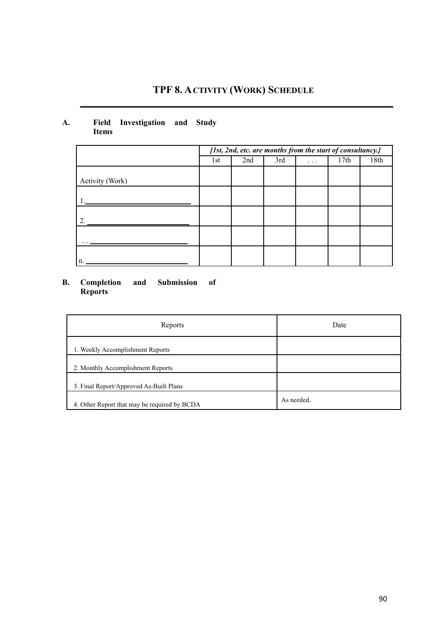# **TPF 8. ACTIVITY (WORK) SCHEDULE**

#### **A. Field Investigation and Study Items**

|                 | [1st, 2nd, etc. are months from the start of consultancy.] |     |     |   |      |      |
|-----------------|------------------------------------------------------------|-----|-----|---|------|------|
|                 | 1st                                                        | 2nd | 3rd | . | 17th | 18th |
| Activity (Work) |                                                            |     |     |   |      |      |
|                 |                                                            |     |     |   |      |      |
|                 |                                                            |     |     |   |      |      |
|                 |                                                            |     |     |   |      |      |
| n.              |                                                            |     |     |   |      |      |

#### **B. Completion and Submission of Reports**

| Reports                                      | Date       |
|----------------------------------------------|------------|
| 1. Weekly Accomplishment Reports             |            |
| 2. Monthly Accomplishment Reports            |            |
| 3. Final Report/Approved As-Built Plans      |            |
| 4. Other Report that may be required by BCDA | As needed. |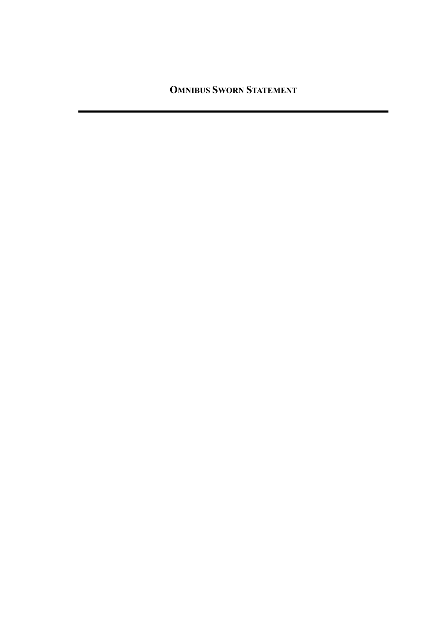**OMNIBUS SWORN STATEMENT**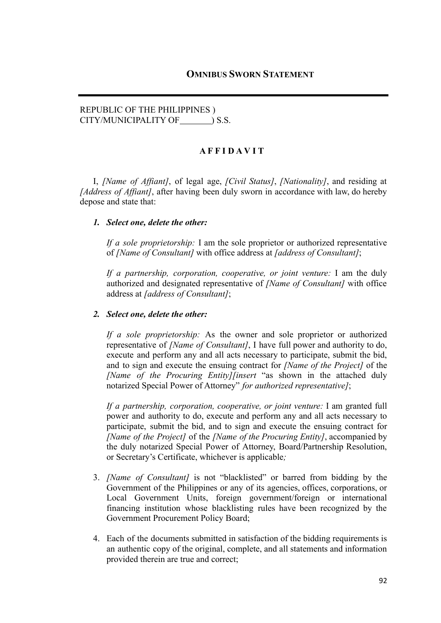### REPUBLIC OF THE PHILIPPINES ) CITY/MUNICIPALITY OF  $\qquad$  ) S.S.

#### **A F F I D A V I T**

I, *[Name of Affiant]*, of legal age, *[Civil Status]*, *[Nationality]*, and residing at *[Address of Affiant]*, after having been duly sworn in accordance with law, do hereby depose and state that:

#### *1. Select one, delete the other:*

*If a sole proprietorship:* I am the sole proprietor or authorized representative of *[Name of Consultant]* with office address at *[address of Consultant]*;

*If a partnership, corporation, cooperative, or joint venture:* I am the duly authorized and designated representative of *[Name of Consultant]* with office address at *[address of Consultant]*;

#### *2. Select one, delete the other:*

*If a sole proprietorship:* As the owner and sole proprietor or authorized representative of *[Name of Consultant]*, I have full power and authority to do, execute and perform any and all acts necessary to participate, submit the bid, and to sign and execute the ensuing contract for *[Name of the Project]* of the *[Name of the Procuring Entity][insert* "as shown in the attached duly notarized Special Power of Attorney" *for authorized representative]*;

*If a partnership, corporation, cooperative, or joint venture:* I am granted full power and authority to do, execute and perform any and all acts necessary to participate, submit the bid, and to sign and execute the ensuing contract for *[Name of the Project]* of the *[Name of the Procuring Entity]*, accompanied by the duly notarized Special Power of Attorney, Board/Partnership Resolution, or Secretary's Certificate, whichever is applicable*;*

- 3. *[Name of Consultant]* is not "blacklisted" or barred from bidding by the Government of the Philippines or any of its agencies, offices, corporations, or Local Government Units, foreign government/foreign or international financing institution whose blacklisting rules have been recognized by the Government Procurement Policy Board;
- 4. Each of the documents submitted in satisfaction of the bidding requirements is an authentic copy of the original, complete, and all statements and information provided therein are true and correct;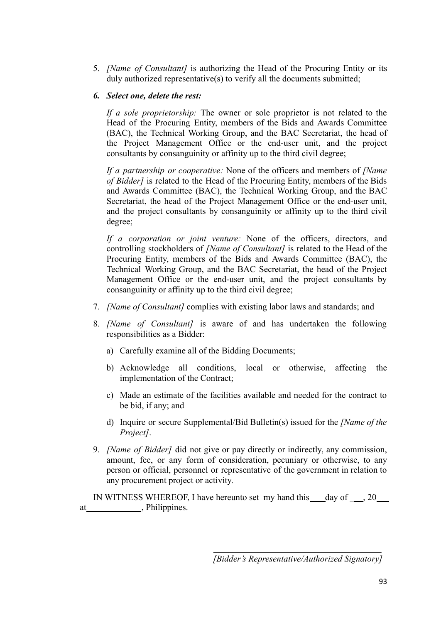5. *[Name of Consultant]* is authorizing the Head of the Procuring Entity or its duly authorized representative(s) to verify all the documents submitted;

### *6. Select one, delete the rest:*

*If a sole proprietorship:* The owner or sole proprietor is not related to the Head of the Procuring Entity, members of the Bids and Awards Committee (BAC), the Technical Working Group, and the BAC Secretariat, the head of the Project Management Office or the end-user unit, and the project consultants by consanguinity or affinity up to the third civil degree;

*If a partnership or cooperative:* None of the officers and members of *[Name of Bidder]* is related to the Head of the Procuring Entity, members of the Bids and Awards Committee (BAC), the Technical Working Group, and the BAC Secretariat, the head of the Project Management Office or the end-user unit, and the project consultants by consanguinity or affinity up to the third civil degree;

*If a corporation or joint venture:* None of the officers, directors, and controlling stockholders of *[Name of Consultant]* is related to the Head of the Procuring Entity, members of the Bids and Awards Committee (BAC), the Technical Working Group, and the BAC Secretariat, the head of the Project Management Office or the end-user unit, and the project consultants by consanguinity or affinity up to the third civil degree;

- 7. *[Name of Consultant]* complies with existing labor laws and standards; and
- 8. *[Name of Consultant]* is aware of and has undertaken the following responsibilities as a Bidder:
	- a) Carefully examine all of the Bidding Documents;
	- b) Acknowledge all conditions, local or otherwise, affecting the implementation of the Contract;
	- c) Made an estimate of the facilities available and needed for the contract to be bid, if any; and
	- d) Inquire or secure Supplemental/Bid Bulletin(s) issued for the *[Name of the Project]*.
- 9. *[Name of Bidder]* did not give or pay directly or indirectly, any commission, amount, fee, or any form of consideration, pecuniary or otherwise, to any person or official, personnel or representative of the government in relation to any procurement project or activity.

IN WITNESS WHEREOF, I have hereunto set my hand this  $\_\text{day of} \_\text{ax}$ , 20 at \_\_\_\_\_\_\_\_\_\_\_\_\_\_\_, Philippines.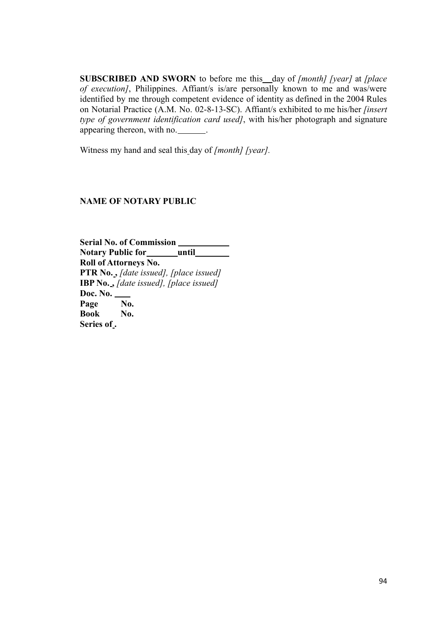**SUBSCRIBED AND SWORN** to before me this day of *[month] [year]* at *[place of execution]*, Philippines. Affiant/s is/are personally known to me and was/were identified by me through competent evidence of identity as defined in the 2004 Rules on Notarial Practice (A.M. No. 02-8-13-SC). Affiant/s exhibited to me his/her *[insert type of government identification card used]*, with his/her photograph and signature appearing thereon, with no. \_\_\_\_\_\_\_.

Witness my hand and seal this day of *[month] [year].*

### **NAME OF NOTARY PUBLIC**

**Serial No. of Commission Notary Public for until Roll of Attorneys No. PTR No. ,** *[date issued], [place issued]* **IBP No. ,** *[date issued], [place issued]* **Doc. No. Page No. Book No. Series of .**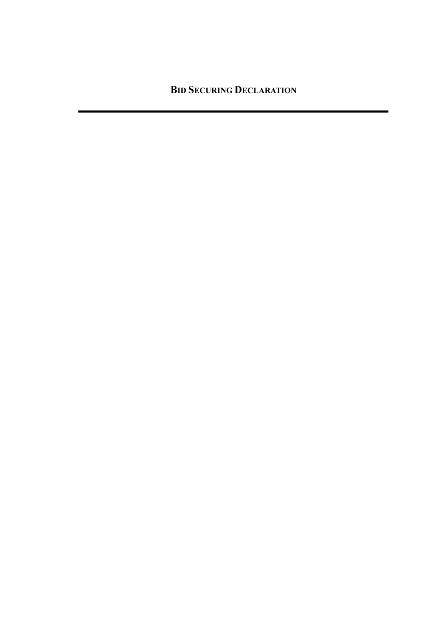**BID SECURING DECLARATION**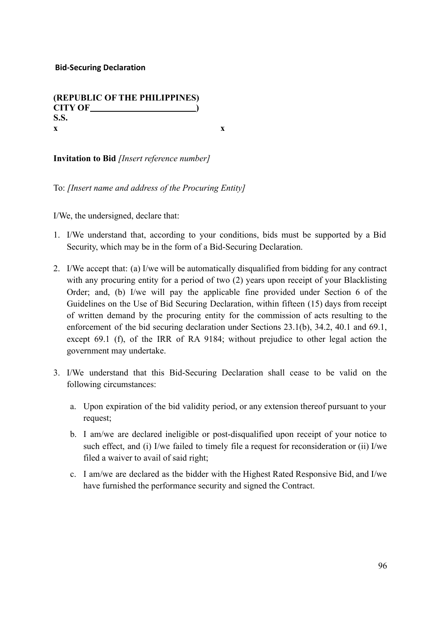# **(REPUBLIC OF THE PHILIPPINES) CITY OF ) S.S. x x**

**Invitation to Bid** *[Insert reference number]*

To: *[Insert name and address of the Procuring Entity]*

I/We, the undersigned, declare that:

- 1. I/We understand that, according to your conditions, bids must be supported by a Bid Security, which may be in the form of a Bid-Securing Declaration.
- 2. I/We accept that: (a) I/we will be automatically disqualified from bidding for any contract with any procuring entity for a period of two (2) years upon receipt of your Blacklisting Order; and, (b) I/we will pay the applicable fine provided under Section 6 of the Guidelines on the Use of Bid Securing Declaration, within fifteen (15) days from receipt of written demand by the procuring entity for the commission of acts resulting to the enforcement of the bid securing declaration under Sections 23.1(b), 34.2, 40.1 and 69.1, except 69.1 (f), of the IRR of RA 9184; without prejudice to other legal action the government may undertake.
- 3. I/We understand that this Bid-Securing Declaration shall cease to be valid on the following circumstances:
	- a. Upon expiration of the bid validity period, or any extension thereof pursuant to your request;
	- b. I am/we are declared ineligible or post-disqualified upon receipt of your notice to such effect, and (i) I/we failed to timely file a request for reconsideration or (ii) I/we filed a waiver to avail of said right;
	- c. I am/we are declared as the bidder with the Highest Rated Responsive Bid, and I/we have furnished the performance security and signed the Contract.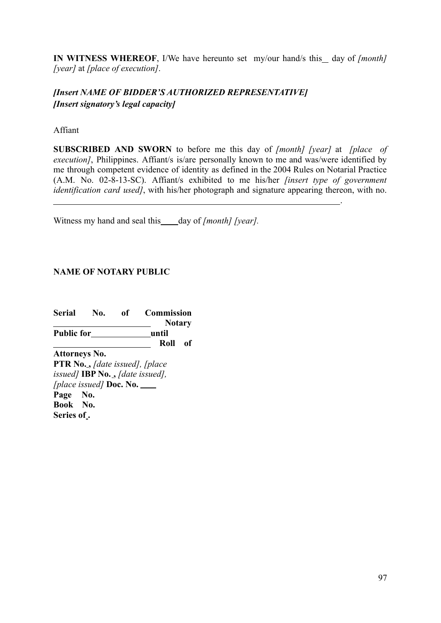**IN WITNESS WHEREOF**, I/We have hereunto set my/our hand/s this day of *[month] [year]* at *[place of execution]*.

# *[Insert NAME OF BIDDER'S AUTHORIZED REPRESENTATIVE] [Insert signatory's legal capacity]*

Affiant

**SUBSCRIBED AND SWORN** to before me this day of *[month] [year]* at *[place of execution]*, Philippines. Affiant/s is/are personally known to me and was/were identified by me through competent evidence of identity as defined in the 2004 Rules on Notarial Practice (A.M. No. 02-8-13-SC). Affiant/s exhibited to me his/her *[insert type of government identification card used]*, with his/her photograph and signature appearing thereon, with no.

Witness my hand and seal this day of *[month] [year]*.

# **NAME OF NOTARY PUBLIC**

**Serial No. of Commission Notary Public for until Roll of Attorneys No. PTR No. ,** *[date issued], [place issued]* **IBP No. ,** *[date issued], [place issued]* **Doc. No. Page No. Book No. Series of .**

.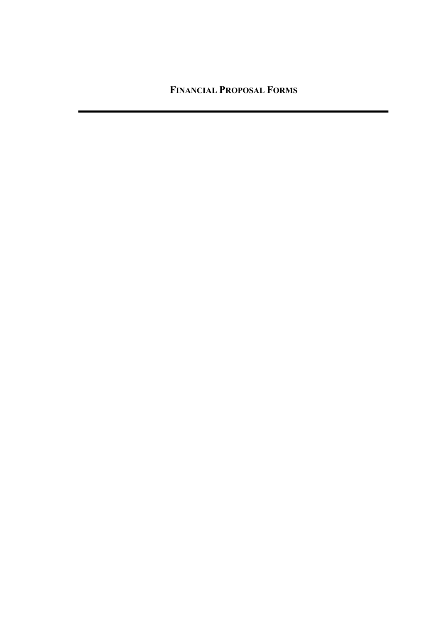**FINANCIAL PROPOSAL FORMS**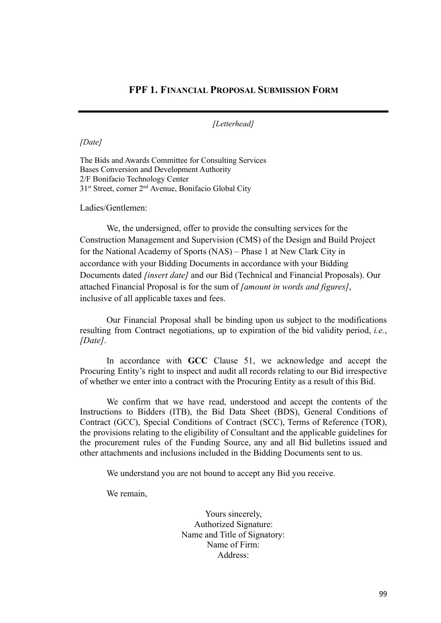### **FPF 1. FINANCIAL PROPOSAL SUBMISSION FORM**

*[Letterhead]*

*[Date]*

The Bids and Awards Committee for Consulting Services Bases Conversion and Development Authority 2/F Bonifacio Technology Center 31<sup>st</sup> Street, corner 2<sup>nd</sup> Avenue, Bonifacio Global City

Ladies/Gentlemen:

We, the undersigned, offer to provide the consulting services for the Construction Management and Supervision (CMS) of the Design and Build Project for the National Academy of Sports (NAS) – Phase 1 at New Clark City in accordance with your Bidding Documents in accordance with your Bidding Documents dated *[insert date]* and our Bid (Technical and Financial Proposals). Our attached Financial Proposal is for the sum of *[amount in words and figures]*, inclusive of all applicable taxes and fees.

Our Financial Proposal shall be binding upon us subject to the modifications resulting from Contract negotiations, up to expiration of the bid validity period, *i.e.*, *[Date]*.

In accordance with **GCC** Clause 51, we acknowledge and accept the Procuring Entity's right to inspect and audit all records relating to our Bid irrespective of whether we enter into a contract with the Procuring Entity as a result of this Bid.

We confirm that we have read, understood and accept the contents of the Instructions to Bidders (ITB), the Bid Data Sheet (BDS), General Conditions of Contract (GCC), Special Conditions of Contract (SCC), Terms of Reference (TOR), the provisions relating to the eligibility of Consultant and the applicable guidelines for the procurement rules of the Funding Source, any and all Bid bulletins issued and other attachments and inclusions included in the Bidding Documents sent to us.

We understand you are not bound to accept any Bid you receive.

We remain,

Yours sincerely, Authorized Signature: Name and Title of Signatory: Name of Firm: Address: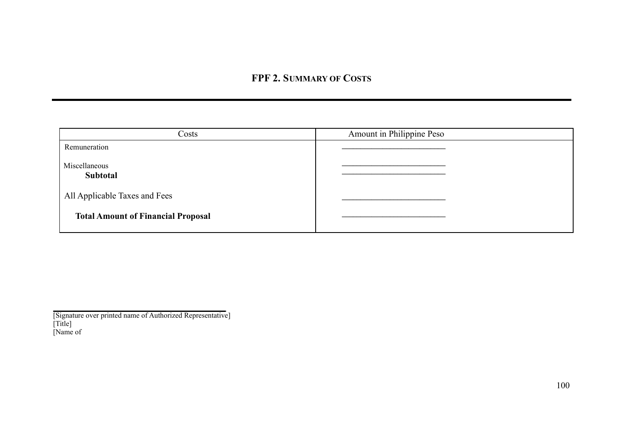# **FPF 2. SUMMARY OF COSTS**

| Costs                                     | Amount in Philippine Peso |
|-------------------------------------------|---------------------------|
| Remuneration                              |                           |
| Miscellaneous<br>Subtotal                 |                           |
| All Applicable Taxes and Fees             |                           |
| <b>Total Amount of Financial Proposal</b> |                           |

<sup>[</sup>Signature over printed name of Authorized Representative] [Title] [Name of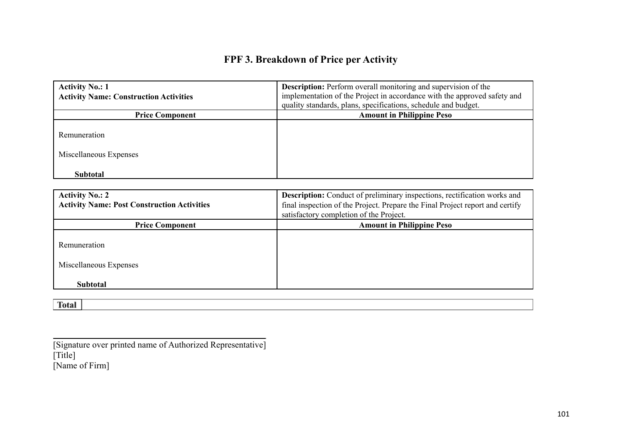# **FPF 3. Breakdown of Price per Activity**

| <b>Activity No.: 1</b><br><b>Activity Name: Construction Activities</b> | <b>Description:</b> Perform overall monitoring and supervision of the<br>implementation of the Project in accordance with the approved safety and<br>quality standards, plans, specifications, schedule and budget. |
|-------------------------------------------------------------------------|---------------------------------------------------------------------------------------------------------------------------------------------------------------------------------------------------------------------|
| <b>Price Component</b>                                                  | <b>Amount in Philippine Peso</b>                                                                                                                                                                                    |
| Remuneration<br>Miscellaneous Expenses                                  |                                                                                                                                                                                                                     |
| <b>Subtotal</b>                                                         |                                                                                                                                                                                                                     |

| <b>Activity No.: 2</b><br><b>Activity Name: Post Construction Activities</b> | <b>Description:</b> Conduct of preliminary inspections, rectification works and<br>final inspection of the Project. Prepare the Final Project report and certify<br>satisfactory completion of the Project. |
|------------------------------------------------------------------------------|-------------------------------------------------------------------------------------------------------------------------------------------------------------------------------------------------------------|
| <b>Price Component</b>                                                       | <b>Amount in Philippine Peso</b>                                                                                                                                                                            |
| Remuneration<br>Miscellaneous Expenses                                       |                                                                                                                                                                                                             |
| <b>Subtotal</b>                                                              |                                                                                                                                                                                                             |

[Signature over printed name of Authorized Representative] [Title] [Name of Firm]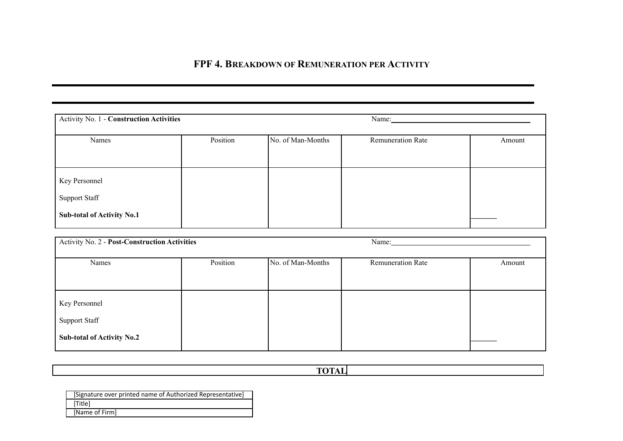# **FPF 4. BREAKDOWN OF REMUNERATION PER ACTIVITY**

| <b>Activity No. 1 - Construction Activities</b>                            |          | Name:             |                          |        |  |
|----------------------------------------------------------------------------|----------|-------------------|--------------------------|--------|--|
| Names                                                                      | Position | No. of Man-Months | <b>Remuneration Rate</b> | Amount |  |
| Key Personnel<br><b>Support Staff</b><br><b>Sub-total of Activity No.1</b> |          |                   |                          |        |  |

| Activity No. 2 - Post-Construction Activities                              |          |                   | Name:                    |        |  |  |
|----------------------------------------------------------------------------|----------|-------------------|--------------------------|--------|--|--|
| Names                                                                      | Position | No. of Man-Months | <b>Remuneration Rate</b> | Amount |  |  |
| Key Personnel<br><b>Support Staff</b><br><b>Sub-total of Activity No.2</b> |          |                   |                          |        |  |  |

**TOTAL**

[Signature over printed name of Authorized Representative] [Title] [Name of Firm]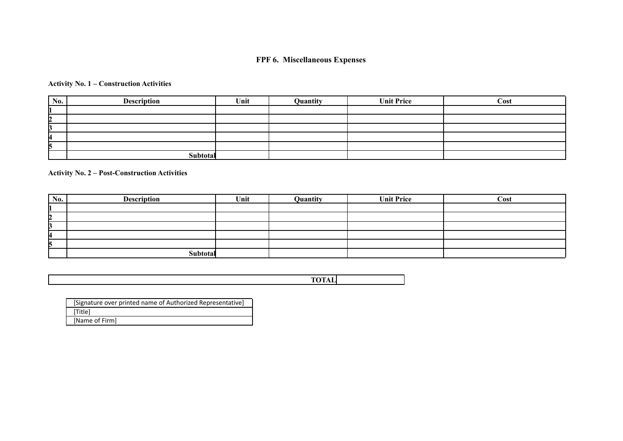### **FPF 6. Miscellaneous Expenses**

#### **Activity No. 1 – Construction Activities**

| No. | <b>Description</b> | Unit | Quantity | <b>Unit Price</b> | Cost |
|-----|--------------------|------|----------|-------------------|------|
|     |                    |      |          |                   |      |
| 12  |                    |      |          |                   |      |
|     |                    |      |          |                   |      |
| 4   |                    |      |          |                   |      |
| ר   |                    |      |          |                   |      |
|     | Subtotal           |      |          |                   |      |

**Activity No. 2 – Post-Construction Activities**

| No. | <b>Description</b> | Unit | Quantity | <b>Unit Price</b> | Cost |
|-----|--------------------|------|----------|-------------------|------|
|     |                    |      |          |                   |      |
| 2   |                    |      |          |                   |      |
|     |                    |      |          |                   |      |
| 4   |                    |      |          |                   |      |
| n   |                    |      |          |                   |      |
|     | Subtotal           |      |          |                   |      |

**TOTAL**

| [Signature over printed name of Authorized Representative] |
|------------------------------------------------------------|
| [Title]                                                    |
| [Name of Firm]                                             |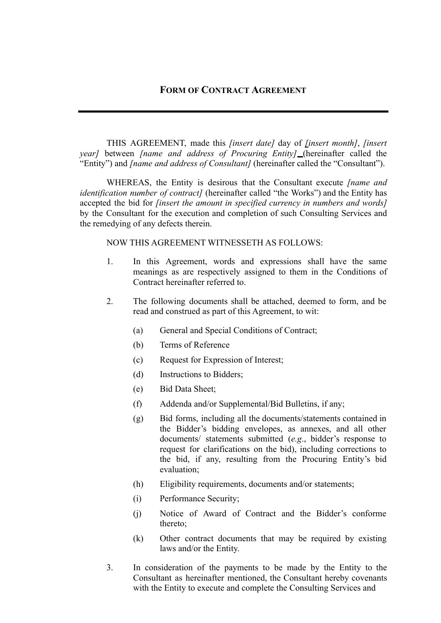THIS AGREEMENT, made this *[insert date]* day of *[insert month]*, *[insert year]* between *[name and address of Procuring Entity]* (hereinafter called the "Entity") and *[name and address of Consultant]* (hereinafter called the "Consultant").

WHEREAS, the Entity is desirous that the Consultant execute *[name and identification number of contract]* (hereinafter called "the Works") and the Entity has accepted the bid for *[insert the amount in specified currency in numbers and words]* by the Consultant for the execution and completion of such Consulting Services and the remedying of any defects therein.

NOW THIS AGREEMENT WITNESSETH AS FOLLOWS:

- 1. In this Agreement, words and expressions shall have the same meanings as are respectively assigned to them in the Conditions of Contract hereinafter referred to.
- 2. The following documents shall be attached, deemed to form, and be read and construed as part of this Agreement, to wit:
	- (a) General and Special Conditions of Contract;
	- (b) Terms of Reference
	- (c) Request for Expression of Interest;
	- (d) Instructions to Bidders;
	- (e) Bid Data Sheet;
	- (f) Addenda and/or Supplemental/Bid Bulletins, if any;
	- (g) Bid forms, including all the documents/statements contained in the Bidder's bidding envelopes, as annexes, and all other documents/ statements submitted (*e.g*., bidder's response to request for clarifications on the bid), including corrections to the bid, if any, resulting from the Procuring Entity's bid evaluation;
	- (h) Eligibility requirements, documents and/or statements;
	- (i) Performance Security;
	- (j) Notice of Award of Contract and the Bidder's conforme thereto;
	- (k) Other contract documents that may be required by existing laws and/or the Entity.
- 3. In consideration of the payments to be made by the Entity to the Consultant as hereinafter mentioned, the Consultant hereby covenants with the Entity to execute and complete the Consulting Services and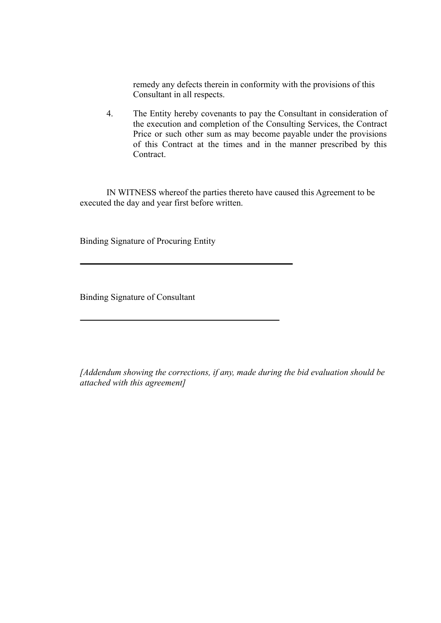remedy any defects therein in conformity with the provisions of this Consultant in all respects.

4. The Entity hereby covenants to pay the Consultant in consideration of the execution and completion of the Consulting Services, the Contract Price or such other sum as may become payable under the provisions of this Contract at the times and in the manner prescribed by this Contract.

IN WITNESS whereof the parties thereto have caused this Agreement to be executed the day and year first before written.

Binding Signature of Procuring Entity

Binding Signature of Consultant

*[Addendum showing the corrections, if any, made during the bid evaluation should be attached with this agreement]*